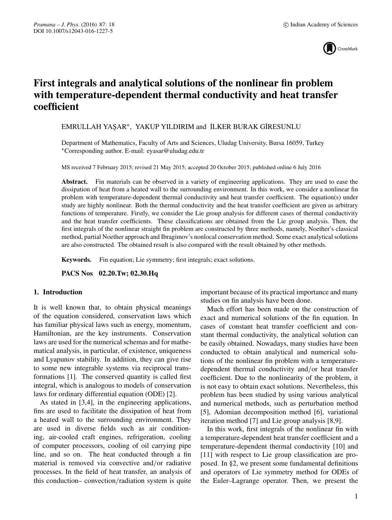

# **First integrals and analytical solutions of the nonlinear fin problem with temperature-dependent thermal conductivity and heat transfer coefficient**

EMRULLAH YAŞAR<sup>\*</sup>, YAKUP YILDIRIM and İLKER BURAK GİRESUNLU

Department of Mathematics, Faculty of Arts and Sciences, Uludag University, Bursa 16059, Turkey ∗Corresponding author. E-mail: eyasar@uludag.edu.tr

MS received 7 February 2015; revised 21 May 2015; accepted 20 October 2015; published online 6 July 2016

**Abstract.** Fin materials can be observed in a variety of engineering applications. They are used to ease the dissipation of heat from a heated wall to the surrounding environment. In this work, we consider a nonlinear fin problem with temperature-dependent thermal conductivity and heat transfer coefficient. The equation(s) under study are highly nonlinear. Both the thermal conductivity and the heat transfer coefficient are given as arbitrary functions of temperature. Firstly, we consider the Lie group analysis for different cases of thermal conductivity and the heat transfer coefficients. These classifications are obtained from the Lie group analysis. Then, the first integrals of the nonlinear straight fin problem are constructed by three methods, namely, Noether's classical method, partial Noether approach and Ibragimov's nonlocal conservation method. Some exact analytical solutions are also constructed. The obtained result is also compared with the result obtained by other methods.

**Keywords.** Fin equation; Lie symmetry; first integrals; exact solutions.

**PACS Nos 02.20.Tw; 02.30.Hq**

### **1. Introduction**

It is well known that, to obtain physical meanings of the equation considered, conservation laws which has familiar physical laws such as energy, momentum, Hamiltonian, are the key instruments. Conservation laws are used for the numerical schemas and for mathematical analysis, in particular, of existence, uniqueness and Lyapunov stability. In addition, they can give rise to some new integrable systems via reciprocal transformations [1]. The conserved quantity is called first integral, which is analogous to models of conservation laws for ordinary differential equation (ODE) [2].

As stated in [3,4], in the engineering applications, fins are used to facilitate the dissipation of heat from a heated wall to the surrounding environment. They are used in diverse fields such as air conditioning, air-cooled craft engines, refrigeration, cooling of computer processors, cooling of oil carrying pipe line, and so on. The heat conducted through a fin material is removed via convective and/or radiative processes. In the field of heat transfer, an analysis of this conduction– convection/radiation system is quite important because of its practical importance and many studies on fin analysis have been done.

Much effort has been made on the construction of exact and numerical solutions of the fin equation. In cases of constant heat transfer coefficient and constant thermal conductivity, the analytical solution can be easily obtained. Nowadays, many studies have been conducted to obtain analytical and numerical solutions of the nonlinear fin problem with a temperaturedependent thermal conductivity and/or heat transfer coefficient. Due to the nonlinearity of the problem, it is not easy to obtain exact solutions. Nevertheless, this problem has been studied by using various analytical and numerical methods, such as perturbation method [5], Adomian decomposition method [6], variational iteration method [7] and Lie group analysis [8,9].

In this work, first integrals of the nonlinear fin with a temperature-dependent heat transfer coefficient and a temperature-dependent thermal conductivity [10] and [11] with respect to Lie group classification are proposed. In §2, we present some fundamental definitions and operators of Lie symmetry method for ODEs of the Euler–Lagrange operator. Then, we present the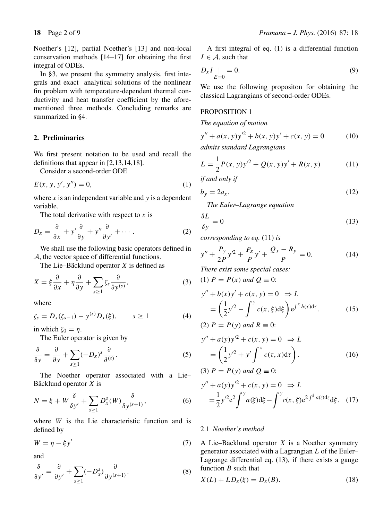Noether's [12], partial Noether's [13] and non-local conservation methods [14–17] for obtaining the first integral of ODEs.

In §3, we present the symmetry analysis, first integrals and exact analytical solutions of the nonlinear fin problem with temperature-dependent thermal conductivity and heat transfer coefficient by the aforementioned three methods. Concluding remarks are summarized in §4.

## **2. Preliminaries**

We first present notation to be used and recall the definitions that appear in [2,13,14,18].

Consider a second-order ODE

$$
E(x, y, y', y'') = 0,
$$
 (1)

where  $x$  is an independent variable and  $y$  is a dependent variable.

The total derivative with respect to  $x$  is

$$
D_x = \frac{\partial}{\partial x} + y' \frac{\partial}{\partial y} + y'' \frac{\partial}{\partial y'} + \cdots
$$
 (2)

We shall use the following basic operators defined in A, the vector space of differential functions.

The Lie–Bäcklund operator  $X$  is defined as

$$
X = \xi \frac{\partial}{\partial x} + \eta \frac{\partial}{\partial y} + \sum_{s \ge 1} \zeta_s \frac{\partial}{\partial y^{(s)}},\tag{3}
$$

where

$$
\zeta_s = D_x(\zeta_{s-1}) - y^{(s)} D_x(\xi), \qquad s \ge 1 \tag{4}
$$

in which  $\zeta_0 = \eta$ .

The Euler operator is given by

$$
\frac{\delta}{\delta y} = \frac{\partial}{\partial y} + \sum_{s \ge 1} (-D_x)^s \frac{\partial}{\partial s^s}.
$$
 (5)

The Noether operator associated with a Lie– Bäcklund operator X is

$$
N = \xi + W \frac{\delta}{\delta y'} + \sum_{s \ge 1} D_x^s(W) \frac{\delta}{\delta y^{(s+1)}},
$$
 (6)

where  $W$  is the Lie characteristic function and is defined by

$$
W = \eta - \xi y'
$$
 (7)

and

$$
\frac{\delta}{\delta y'} = \frac{\partial}{\partial y'} + \sum_{s \ge 1} (-D_x^s) \frac{\partial}{\partial y^{(s+1)}}.
$$
 (8)

A first integral of eq. (1) is a differential function  $I \in \mathcal{A}$ , such that

$$
D_x I_{E=0} = 0.
$$
 (9)

We use the following propositon for obtaining the classical Lagrangians of second-order ODEs.

### PROPOSITION 1

#### *The equation of motion*

$$
y'' + a(x, y)y'^2 + b(x, y)y' + c(x, y) = 0
$$
 (10)

*admits standard Lagrangians*

$$
L = \frac{1}{2}P(x, y)y'^2 + Q(x, y)y' + R(x, y)
$$
 (11)

*if and only if*

$$
b_y = 2a_x. \t\t(12)
$$

*The Euler–Lagrange equation*

$$
\frac{\delta L}{\delta y} = 0\tag{13}
$$

*corresponding to eq.* (11) *is*

$$
y'' + \frac{P_y}{2P}y'^2 + \frac{P_x}{P}y' + \frac{Q_x - R_y}{P} = 0.
$$
 (14)

*There exist some special cases:*

(1)  $P = P(x)$  *and*  $Q \equiv 0$ :

$$
y'' + b(x)y' + c(x, y) = 0 \Rightarrow L
$$
  
=  $\left(\frac{1}{2}y'^2 - \int^y c(x, \xi) d\xi\right) e^{\int^x b(\tau) d\tau}$ . (15)  
(2)  $P = P(y)$  and  $R \equiv 0$ :

$$
y'' + a(y)y'^2 + c(x, y) = 0 \Rightarrow L
$$
  
= 
$$
\left(\frac{1}{2}y'^2 + y'\int^x c(\tau, x)d\tau\right).
$$
 (16)

(3) 
$$
P = P(y)
$$
 and  $Q \equiv 0$ :

$$
y'' + a(y)y'^2 + c(x, y) = 0 \implies L
$$
  
=  $\frac{1}{2}y'^2e^2 \int^y a(\xi) d\xi - \int^y c(x, \xi) e^{2\int^{\xi} a(z)dz} d\xi.$  (17)

#### 2.1 *Noether's method*

A Lie–Bäcklund operator  $X$  is a Noether symmetry generator associated with a Lagrangian L of the Euler– Lagrange differential eq. (13), if there exists a gauge function B such that

$$
X(L) + LD_{x}(\xi) = D_{x}(B).
$$
 (18)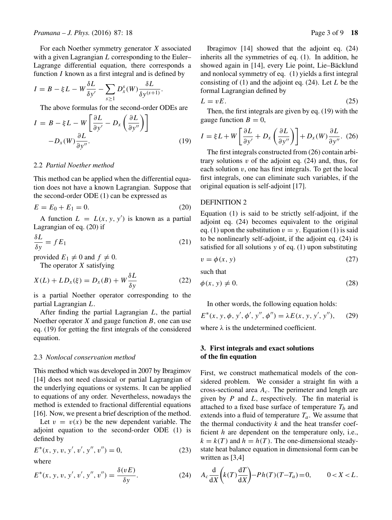For each Noether symmetry generator X associated with a given Lagrangian  $L$  corresponding to the Euler– Lagrange differential equation, there corresponds a function  $I$  known as a first integral and is defined by

$$
I = B - \xi L - W \frac{\delta L}{\delta y'} - \sum_{s \ge 1} D_x^s(W) \frac{\delta L}{\delta y^{(s+1)}}.
$$

The above formulas for the second-order ODEs are

$$
I = B - \xi L - W \left[ \frac{\partial L}{\partial y'} - D_x \left( \frac{\partial L}{\partial y''} \right) \right]
$$

$$
-D_x(W) \frac{\partial L}{\partial y''}.
$$
(19)

#### 2.2 *Partial Noether method*

This method can be applied when the differential equation does not have a known Lagrangian. Suppose that the second-order ODE (1) can be expressed as

$$
E = E_0 + E_1 = 0.
$$
 (20)

A function  $L = L(x, y, y')$  is known as a partial Lagrangian of eq. (20) if

$$
\frac{\delta L}{\delta y} = f E_1 \tag{21}
$$

provided  $E_1 \neq 0$  and  $f \neq 0$ .

The operator  $X$  satisfying

$$
X(L) + LD_x(\xi) = D_x(B) + W \frac{\delta L}{\delta y}
$$
 (22)

is a partial Noether operator corresponding to the partial Lagrangian L.

After finding the partial Lagrangian L, the partial Noether operator  $X$  and gauge function  $B$ , one can use eq. (19) for getting the first integrals of the considered equation.

#### 2.3 *Nonlocal conser*v*ation method*

This method which was developed in 2007 by Ibragimov [14] does not need classical or partial Lagrangian of the underlying equations or systems. It can be applied to equations of any order. Nevertheless, nowadays the method is extended to fractional differential equations [16]. Now, we present a brief description of the method.

Let  $v = v(x)$  be the new dependent variable. The adjoint equation to the second-order ODE (1) is defined by

$$
E^*(x, y, v, y', v', y'', v'') = 0,
$$
\n(23)

where

$$
E^*(x, y, v, y', v', y'', v'') = \frac{\delta(vE)}{\delta y}.
$$
 (24)

Ibragimov [14] showed that the adjoint eq. (24) inherits all the symmetries of eq. (1). In addition, he showed again in [14], every Lie point, Lie–Bäcklund and nonlocal symmetry of eq. (1) yields a first integral consisting of  $(1)$  and the adjoint eq.  $(24)$ . Let L be the formal Lagrangian defined by

$$
L = vE. \tag{25}
$$

Then, the first integrals are given by eq. (19) with the gauge function  $B = 0$ ,

$$
I = \xi L + W \left[ \frac{\partial L}{\partial y'} + D_x \left( \frac{\partial L}{\partial y''} \right) \right] + D_x(W) \frac{\partial L}{\partial y''}. (26)
$$

The first integrals constructed from (26) contain arbitrary solutions  $v$  of the adjoint eq. (24) and, thus, for each solution  $v$ , one has first integrals. To get the local first integrals, one can eliminate such variables, if the original equation is self-adjoint [17].

#### DEFINITION 2

Equation (1) is said to be strictly self-adjoint, if the adjoint eq. (24) becomes equivalent to the original eq. (1) upon the substitution  $v = y$ . Equation (1) is said to be nonlinearly self-adjoint, if the adjoint eq. (24) is satisfied for all solutions  $y$  of eq. (1) upon substituting

$$
v = \phi(x, y) \tag{27}
$$

such that

$$
\phi(x, y) \neq 0. \tag{28}
$$

In other words, the following equation holds:

$$
E^*(x, y, \phi, y', \phi', y'', \phi'') = \lambda E(x, y, y', y''), \quad (29)
$$

where  $\lambda$  is the undetermined coefficient.

## **3. First integrals and exact solutions of the fin equation**

First, we construct mathematical models of the considered problem. We consider a straight fin with a cross-sectional area  $A_c$ . The perimeter and length are given by  $P$  and  $L$ , respectively. The fin material is attached to a fixed base surface of temperature  $T_b$  and extends into a fluid of temperature  $T_a$ . We assume that the thermal conductivity  $k$  and the heat transfer coefficient  $h$  are dependent on the temperature only, i.e.,  $k = k(T)$  and  $h = h(T)$ . The one-dimensional steadystate heat balance equation in dimensional form can be written as [3,4]

$$
A_c \frac{\mathrm{d}}{\mathrm{d}X} \left( k(T) \frac{\mathrm{d}T}{\mathrm{d}X} \right) - Ph(T)(T - T_a) = 0, \qquad 0 < X < L.
$$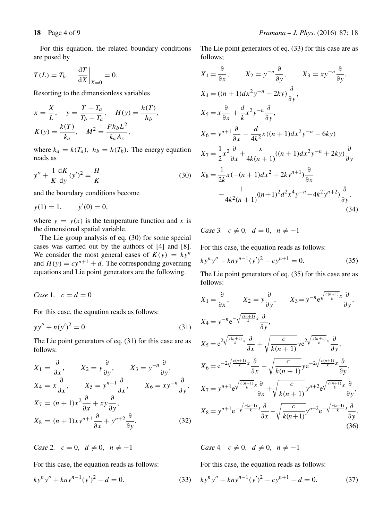For this equation, the related boundary conditions are posed by

$$
T(L) = T_b, \quad \left. \frac{\mathrm{d}T}{\mathrm{d}X} \right|_{X=0} = 0.
$$

Resorting to the dimensionless variables

$$
x = \frac{X}{L}, \quad y = \frac{T - T_a}{T_b - T_a}, \quad H(y) = \frac{h(T)}{h_b},
$$

$$
K(y) = \frac{k(T)}{k_a}, \quad M^2 = \frac{Ph_b L^2}{k_a A_c},
$$

where  $k_a = k(T_a)$ ,  $h_b = h(T_b)$ . The energy equation reads as

$$
y'' + \frac{1}{K} \frac{dK}{dy} (y')^2 = \frac{H}{K}
$$
 (30)

and the boundary conditions become

$$
y(1) = 1,
$$
  $y'(0) = 0,$ 

where  $y = y(x)$  is the temperature function and x is the dimensional spatial variable.

The Lie group analysis of eq. (30) for some special cases was carried out by the authors of [4] and [8]. We consider the most general cases of  $K(y) = ky^n$ and  $H(y) = cy^{n+1} + d$ . The corresponding governing equations and Lie point generators are the following.

*Case* 1*.*  $c = d = 0$ 

For this case, the equation reads as follows:

$$
yy'' + n(y')^2 = 0.
$$
 (31)

The Lie point generators of eq. (31) for this case are as follows:

$$
X_1 = \frac{\partial}{\partial x}, \qquad X_2 = y \frac{\partial}{\partial y}, \qquad X_3 = y^{-n} \frac{\partial}{\partial y},
$$
  
\n
$$
X_4 = x \frac{\partial}{\partial x}, \qquad X_5 = y^{n+1} \frac{\partial}{\partial x}, \qquad X_6 = xy^{-n} \frac{\partial}{\partial y},
$$
  
\n
$$
X_7 = (n+1)x^2 \frac{\partial}{\partial x} + xy \frac{\partial}{\partial y},
$$
  
\n
$$
X_8 = (n+1)xy^{n+1} \frac{\partial}{\partial x} + y^{n+2} \frac{\partial}{\partial y}.
$$
  
\n(32)

*Case* 2*.*  $c = 0$ ,  $d \neq 0$ ,  $n \neq -1$ 

For this case, the equation reads as follows:

$$
ky^{n}y'' + kny^{n-1}(y')^{2} - d = 0.
$$
 (33)

The Lie point generators of eq. (33) for this case are as follows;

$$
X_{1} = \frac{\partial}{\partial x}, \qquad X_{2} = y^{-n} \frac{\partial}{\partial y}, \qquad X_{3} = xy^{-n} \frac{\partial}{\partial y},
$$
  
\n
$$
X_{4} = ((n+1)dx^{2}y^{-n} - 2ky) \frac{\partial}{\partial y},
$$
  
\n
$$
X_{5} = x \frac{\partial}{\partial x} + \frac{d}{k}x^{2}y^{-n} \frac{\partial}{\partial y},
$$
  
\n
$$
X_{6} = y^{n+1} \frac{\partial}{\partial x} - \frac{d}{4k^{2}}x((n+1)dx^{2}y^{-n} - 6ky)
$$
  
\n
$$
X_{7} = \frac{1}{2}x^{2} \frac{\partial}{\partial x} + \frac{x}{4k(n+1)}((n+1)dx^{2}y^{-n} + 2ky) \frac{\partial}{\partial y},
$$
  
\n
$$
X_{8} = \frac{1}{2k}x(-(n+1)dx^{2} + 2ky^{n+1}) \frac{\partial}{\partial x},
$$
  
\n
$$
-\frac{1}{4k^{2}(n+1)}((n+1)^{2}d^{2}x^{4}y^{-n} - 4k^{2}y^{n+2}) \frac{\partial}{\partial y}.
$$
  
\n(34)

*Case* 3*.*  $c \neq 0$ ,  $d = 0$ ,  $n \neq -1$ 

For this case, the equation reads as follows:

$$
ky^{n}y'' + kny^{n-1}(y')^{2} - cy^{n+1} = 0.
$$
 (35)

The Lie point generators of eq. (35) for this case are as follows:

$$
X_1 = \frac{\partial}{\partial x}, \qquad X_2 = y \frac{\partial}{\partial y}, \qquad X_3 = y^{-n} e^{\sqrt{\frac{c(n+1)}{k}}x} \frac{\partial}{\partial y},
$$
  
\n
$$
X_4 = y^{-n} e^{-\sqrt{\frac{c(n+1)}{k}}x} \frac{\partial}{\partial y},
$$
  
\n
$$
X_5 = e^{2\sqrt{\frac{c(n+1)}{k}}x} \frac{\partial}{\partial x} + \sqrt{\frac{c}{k(n+1)}} y e^{2\sqrt{\frac{c(n+1)}{k}}x} \frac{\partial}{\partial y},
$$
  
\n
$$
X_6 = e^{-2\sqrt{\frac{c(n+1)}{k}}x} \frac{\partial}{\partial x} - \sqrt{\frac{c}{k(n+1)}} y e^{-2\sqrt{\frac{c(n+1)}{k}}x} \frac{\partial}{\partial y},
$$
  
\n
$$
X_7 = y^{n+1} e^{\sqrt{\frac{c(n+1)}{k}}x} \frac{\partial}{\partial x} + \sqrt{\frac{c}{k(n+1)}} y^{n+2} e^{\sqrt{\frac{c(n+1)}{k}}x} \frac{\partial}{\partial y},
$$
  
\n
$$
X_8 = y^{n+1} e^{-\sqrt{\frac{c(n+1)}{k}}x} \frac{\partial}{\partial x} - \sqrt{\frac{c}{k(n+1)}} y^{n+2} e^{-\sqrt{\frac{c(n+1)}{k}}x} \frac{\partial}{\partial y}.
$$
  
\n(36)

*Case* 4*.*  $c \neq 0$ ,  $d \neq 0$ ,  $n \neq -1$ 

For this case, the equation reads as follows:

$$
ky^{n}y'' + kny^{n-1}(y')^{2} - cy^{n+1} - d = 0.
$$
 (37)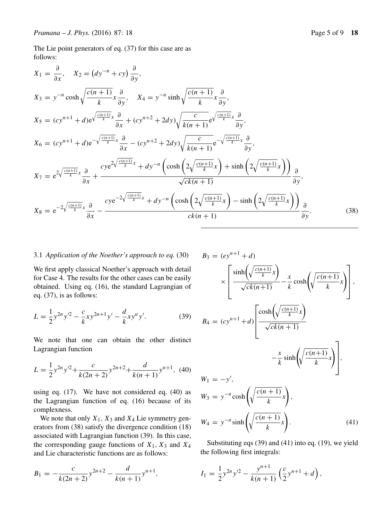The Lie point generators of eq. (37) for this case are as follows:

$$
X_1 = \frac{\partial}{\partial x}, \quad X_2 = (dy^{-n} + cy) \frac{\partial}{\partial y},
$$
  
\n
$$
X_3 = y^{-n} \cosh \sqrt{\frac{c(n+1)}{k}} x \frac{\partial}{\partial y}, \quad X_4 = y^{-n} \sinh \sqrt{\frac{c(n+1)}{k}} x \frac{\partial}{\partial y},
$$
  
\n
$$
X_5 = (cy^{n+1} + d)e^{\sqrt{\frac{c(n+1)}{k}} x} \frac{\partial}{\partial x} + (cy^{n+2} + 2dy)\sqrt{\frac{c}{k(n+1)}} e^{\sqrt{\frac{c(n+1)}{k}} x} \frac{\partial}{\partial y},
$$
  
\n
$$
X_6 = (cy^{n+1} + d)e^{-\sqrt{\frac{c(n+1)}{k}} x} \frac{\partial}{\partial x} - (cy^{n+2} + 2dy)\sqrt{\frac{c}{k(n+1)}} e^{-\sqrt{\frac{c(n+1)}{k}} x} \frac{\partial}{\partial y},
$$
  
\n
$$
X_7 = e^{2\sqrt{\frac{c(n+1)}{k}} x} \frac{\partial}{\partial x} + \frac{cye^{2\sqrt{\frac{c(n+1)}{k}} x} + dy^{-n} \left(\cosh \left(2\sqrt{\frac{c(n+1)}{k}} x\right) + \sinh \left(2\sqrt{\frac{c(n+1)}{k}} x\right)\right)}{\sqrt{ck(n+1)}} \frac{\partial}{\partial y},
$$
  
\n
$$
X_8 = e^{-2\sqrt{\frac{c(n+1)}{k}} x} \frac{\partial}{\partial x} - \frac{cye^{-2\sqrt{\frac{c(n+1)}{k}} x} + dy^{-n} \left(\cosh \left(2\sqrt{\frac{c(n+1)}{k}} x\right) - \sinh \left(2\sqrt{\frac{c(n+1)}{k}} x\right)\right)}{\cosh \left(2\sqrt{\frac{c(n+1)}{k}} x\right)} \frac{\partial}{\partial y}.
$$
  
\n(38)

#### 3.1 *Application of the Noether's approach to eq.* (30)

We first apply classical Noether's approach with detail for Case 4. The results for the other cases can be easily obtained. Using eq. (16), the standard Lagrangian of eq. (37), is as follows:

$$
L = \frac{1}{2}y^{2n}y'^2 - \frac{c}{k}xy^{2n+1}y' - \frac{d}{k}xy^ny'.
$$
 (39)

We note that one can obtain the other distinct Lagrangian function

$$
L = \frac{1}{2}y^{2n}y'^2 + \frac{c}{k(2n+2)}y^{2n+2} + \frac{d}{k(n+1)}y^{n+1}, \tag{40}
$$

using eq. (17). We have not considered eq. (40) as the Lagrangian function of eq. (16) because of its complexness.

We note that only  $X_1$ ,  $X_3$  and  $X_4$  Lie symmetry generators from (38) satisfy the divergence condition (18) associated with Lagrangian function (39). In this case, the corresponding gauge functions of  $X_1, X_3$  and  $X_4$ and Lie characteristic functions are as follows:

$$
B_1 = -\frac{c}{k(2n+2)}y^{2n+2} - \frac{d}{k(n+1)}y^{n+1},
$$

$$
B_3 = (ey^{n+1} + d)
$$
  
\n
$$
\times \left[ \frac{\sinh\left(\sqrt{\frac{c(n+1)}{k}}x\right)}{\sqrt{ck(n+1)}} - \frac{x}{k} \cosh\left(\sqrt{\frac{c(n+1)}{k}}x\right) \right],
$$
  
\n
$$
B_4 = (cy^{n+1} + d) \left[ \frac{\cosh\left(\sqrt{\frac{c(n+1)}{k}}x\right)}{\sqrt{ck(n+1)}} - \frac{x}{k} \sinh\left(\sqrt{\frac{c(n+1)}{k}}x\right) \right],
$$
  
\n
$$
W_1 = -y',
$$
  
\n
$$
W_3 = y^{-n} \cosh\left(\sqrt{\frac{c(n+1)}{k}}x\right),
$$
  
\n
$$
W_4 = y^{-n} \sinh\left(\sqrt{\frac{c(n+1)}{k}}x\right).
$$
\n(41)

Substituting eqs (39) and (41) into eq. (19), we yield the following first integrals:

$$
I_1 = \frac{1}{2}y^{2n}y^{2} - \frac{y^{n+1}}{k(n+1)}\left(\frac{c}{2}y^{n+1} + d\right),
$$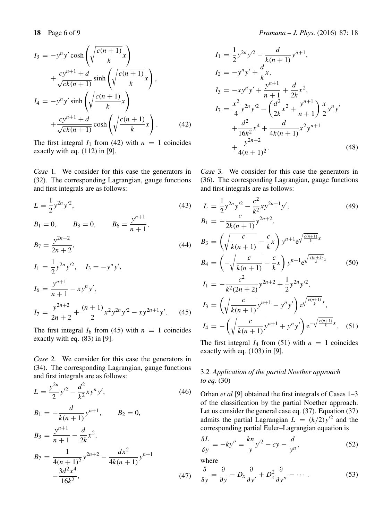$$
I_3 = -y^n y' \cosh\left(\sqrt{\frac{c(n+1)}{k}}x\right)
$$
  
+ 
$$
\frac{cy^{n+1} + d}{\sqrt{ck(n+1)}} \sinh\left(\sqrt{\frac{c(n+1)}{k}}x\right),
$$
  

$$
I_4 = -y^n y' \sinh\left(\sqrt{\frac{c(n+1)}{k}}x\right)
$$
  
+ 
$$
\frac{cy^{n+1} + d}{\sqrt{ck(n+1)}} \cosh\left(\sqrt{\frac{c(n+1)}{k}}x\right).
$$
(42)

The first integral  $I_1$  from (42) with  $n = 1$  coincides exactly with eq. (112) in [9].

*Case* 1*.* We consider for this case the generators in (32). The corresponding Lagrangian, gauge functions and first integrals are as follows:

$$
L = \frac{1}{2} y^{2n} y'^2,
$$
\n(43)

$$
B_1 = 0,
$$
  $B_3 = 0,$   $B_6 = \frac{y^{n+1}}{n+1},$   
 $B_7 = \frac{y^{2n+2}}{2n+2},$  (44)

$$
I_1 = \frac{1}{2} y^{2n} y'^2, \quad I_3 = -y^n y',
$$
  
\n
$$
I_6 = \frac{y^{n+1}}{n+1} - xy^n y',
$$
  
\n
$$
I_7 = \frac{y^{2n+2}}{2n+2} + \frac{(n+1)}{2} x^2 y^{2n} y'^2 - xy^{2n+1} y'. \quad (45)
$$

The first integral  $I_6$  from (45) with  $n = 1$  coincides exactly with eq. (83) in [9].

*Case* 2*.* We consider for this case the generators in (34). The corresponding Lagrangian, gauge functions and first integrals are as follows:

$$
L = \frac{y^{2n}}{2} y'^2 - \frac{d^2}{k^2} xy^n y',
$$
\n
$$
B_1 = -\frac{d}{k(n+1)} y^{n+1},
$$
\n
$$
B_2 = 0,
$$
\n
$$
B_3 = \frac{y^{n+1}}{n+1} - \frac{d}{2k} x^2,
$$
\n
$$
B_7 = \frac{1}{4(n+1)^2} y^{2n+2} - \frac{dx^2}{4k(n+1)} y^{n+1}
$$
\n
$$
-\frac{3d^2 x^4}{16k^2},
$$
\n(47)

$$
I_1 = \frac{1}{2}y^{2n}y'^2 - \frac{d}{k(n+1)}y^{n+1},
$$
  
\n
$$
I_2 = -y^ny' + \frac{d}{k}x,
$$
  
\n
$$
I_3 = -xy^ny' + \frac{y^{n+1}}{n+1} + \frac{d}{2k}x^2,
$$
  
\n
$$
I_7 = \frac{x^2}{4}y^{2n}y'^2 - \left(\frac{d^2}{2k}x^2 + \frac{y^{n+1}}{n+1}\right)\frac{x}{2}y^ny' + \frac{d^2}{16k^2}x^4 + \frac{d}{4k(n+1)}x^2y^{n+1} + \frac{y^{2n+2}}{4(n+1)^2}.
$$
\n(48)

*Case* 3*.* We consider for this case the generators in (36). The corresponding Lagrangian, gauge functions and first integrals are as follows:

$$
L = \frac{1}{2}y^{2n}y'^2 - \frac{c^2}{k^2}xy^{2n+1}y',
$$
(49)  
\n
$$
B_1 = -\frac{c}{2k(n+1)}y^{2n+2},
$$
  
\n
$$
B_3 = \left(\sqrt{\frac{c}{k(n+1)}} - \frac{c}{k}x\right)y^{n+1}e^{\sqrt{\frac{c(n+1)}{k}x}}
$$
  
\n
$$
B_4 = \left(-\sqrt{\frac{c}{k(n+1)}} - \frac{c}{k}x\right)y^{n+1}e^{\sqrt{\frac{c(n+1)}{k}x}}
$$
(50)  
\n
$$
I_1 = -\frac{c^2}{k^2(2n+2)}y^{2n+2} + \frac{1}{2}y^{2n}y'^2,
$$
  
\n
$$
I_3 = \left(\sqrt{\frac{c}{k(n+1)}}y^{n+1} - y^ny'\right)e^{\sqrt{\frac{c(n+1)}{k}x}},
$$
  
\n
$$
I_4 = -\left(\sqrt{\frac{c}{k(n+1)}}y^{n+1} + y^ny'\right)e^{-\sqrt{\frac{c(n+1)}{k}x}}.
$$
(51)

The first integral  $I_4$  from (51) with  $n = 1$  coincides exactly with eq. (103) in [9].

## 3.2 *Application of the partial Noether approach to eq.* (30)

Orhan *et al* [9] obtained the first integrals of Cases 1–3 of the classification by the partial Noether approach. Let us consider the general case eq. (37). Equation (37) admits the partial Lagrangian  $L = (k/2)y^2$  and the corresponding partial Euler–Lagrangian equation is

$$
\frac{\delta L}{\delta y} = -ky'' = \frac{kn}{y}y'^2 - cy - \frac{d}{y^n},\tag{52}
$$

where

$$
\frac{\delta}{\delta y} = \frac{\partial}{\partial y} - D_x \frac{\partial}{\partial y'} + D_x^2 \frac{\partial}{\partial y''} - \dotsb \tag{53}
$$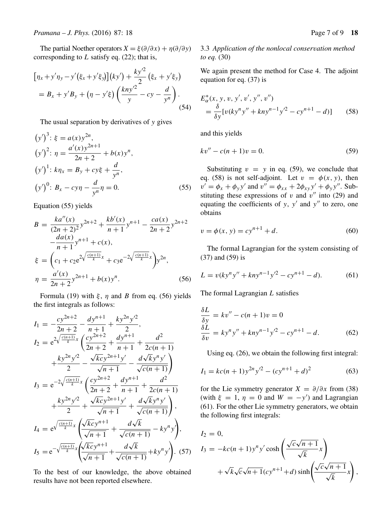The partial Noether operators  $X = \xi(\partial/\partial x) + \eta(\partial/\partial y)$ corresponding to  $L$  satisfy eq. (22); that is,

$$
[\eta_x + y'\eta_y - y'(\xi_x + y'\xi_y)](ky') + \frac{ky'^2}{2}(\xi_x + y'\xi_y)
$$
  
=  $B_x + y'B_y + (\eta - y'\xi) \left(\frac{kny'^2}{y} - cy - \frac{d}{y^n}\right).$  (54)

The usual separation by derivatives of y gives

$$
(y')3: \xi = a(x)y2n,
$$
  
\n
$$
(y')2: \eta = \frac{a'(x)y^{2n+1}}{2n+2} + b(x)y^{n},
$$
  
\n
$$
(y')1: k\eta_x = B_y + cy\xi + \frac{d}{y^n},
$$
  
\n
$$
(y')0: B_x - cy\eta - \frac{d}{y^n}\eta = 0.
$$
\n(55)

Equation (55) yields

$$
B = \frac{ka''(x)}{(2n+2)^2} y^{2n+2} + \frac{kb'(x)}{n+1} y^{n+1} - \frac{ca(x)}{2n+2} y^{2n+2}
$$

$$
-\frac{da(x)}{n+1} y^{n+1} + c(x),
$$

$$
\xi = \left(c_1 + c_2 e^{2\sqrt{\frac{c(n+1)}{k}}x} + c_3 e^{-2\sqrt{\frac{c(n+1)}{k}}x}\right) y^{2n},
$$

$$
\eta = \frac{a'(x)}{2n+2} y^{2n+1} + b(x) y^n.
$$
(56)

Formula (19) with ξ, η and B from eq. (56) yields the first integrals as follows:

$$
I_{1} = -\frac{cy^{2n+2}}{2n+2} - \frac{dy^{n+1}}{n+1} + \frac{ky^{2n}y^{2}}{2},
$$
  
\n
$$
I_{2} = e^{2\sqrt{\frac{c(n+1)}{k}}x} \left(\frac{cy^{2n+2}}{2n+2} + \frac{dy^{n+1}}{n+1} + \frac{d^{2}}{2c(n+1)} + \frac{ky^{2n}y^{2}}{2} - \frac{\sqrt{kc}y^{2n+1}y'}{\sqrt{n+1}} - \frac{d\sqrt{ky}y^{n}y'}{\sqrt{c(n+1)}}\right)
$$
  
\n
$$
I_{3} = e^{-2\sqrt{\frac{c(n+1)}{k}}x} \left(\frac{cy^{2n+2}}{2n+2} + \frac{dy^{n+1}}{n+1} + \frac{d^{2}}{2c(n+1)} + \frac{ky^{2n}y^{2}}{2} + \frac{\sqrt{kc}y^{2n+1}y'}{\sqrt{n+1}} + \frac{d\sqrt{ky}y^{n}y'}{\sqrt{c(n+1)}}\right),
$$
  
\n
$$
I_{4} = e^{\sqrt{\frac{c(n+1)}{k}}x} \left(\frac{\sqrt{kc}y^{n+1}}{\sqrt{n+1}} + \frac{d\sqrt{k}}{\sqrt{c(n+1)}} - ky^{n}y'\right),
$$
  
\n
$$
I_{5} = e^{-\sqrt{\frac{c(n+1)}{k}}x} \left(\frac{\sqrt{kc}y^{n+1}}{\sqrt{n+1}} + \frac{d\sqrt{k}}{\sqrt{c(n+1)}} + ky^{n}y'\right).
$$
 (57)

To the best of our knowledge, the above obtained results have not been reported elsewhere.

## 3.3 *Application of the nonlocal conser*v*ation method to eq.* (30)

We again present the method for Case 4. The adjoint equation for eq. (37) is

$$
E_{\alpha}^{*}(x, y, v, y', v', y'', v'')
$$
  
=  $\frac{\delta}{\delta y} [v(ky^{n}y'' + kny^{n-1}y'^{2} - cy^{n+1} - d)]$  (58)

and this yields

$$
kv'' - c(n+1)v = 0.
$$
 (59)

Substituting  $v = y$  in eq. (59), we conclude that eq. (58) is not self-adjoint. Let  $v = \phi(x, y)$ , then  $v' = \phi_x + \phi_y y'$  and  $v'' = \phi_{xx} + 2\phi_{xy}y' + \phi_y y''$ . Substituting these expressions of v and  $v''$  into (29) and equating the coefficients of y,  $y'$  and  $y''$  to zero, one obtains

$$
v = \phi(x, y) = cy^{n+1} + d.
$$
 (60)

The formal Lagrangian for the system consisting of (37) and (59) is

$$
L = v(ky^n y'' + kny^{n-1}y'^2 - cy^{n+1} - d). \tag{61}
$$

The formal Lagrangian L satisfies

$$
\frac{\delta L}{\delta y} = kv'' - c(n+1)v = 0
$$
  

$$
\frac{\delta L}{\delta v} = ky^{n}y'' + kny^{n-1}y'^{2} - cy^{n+1} - d.
$$
 (62)

Using eq. (26), we obtain the following first integral:

$$
I_1 = kc(n+1)y^{2n}y'^2 - (cy^{n+1} + d)^2
$$
 (63)

for the Lie symmetry generator  $X = \partial/\partial x$  from (38) (with  $\xi = 1$ ,  $\eta = 0$  and  $W = -y'$ ) and Lagrangian (61). For the other Lie symmetry generators, we obtain the following first integrals:

$$
I_2 = 0,
$$
  
\n
$$
I_3 = -kc(n+1)y^n y' \cosh\left(\frac{\sqrt{c}\sqrt{n+1}}{\sqrt{k}}x\right)
$$
  
\n
$$
+\sqrt{k}\sqrt{c}\sqrt{n+1}(cy^{n+1}+d)\sinh\left(\frac{\sqrt{c}\sqrt{n+1}}{\sqrt{k}}x\right),
$$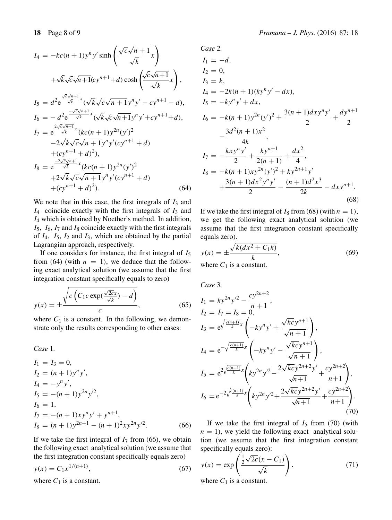$$
I_{4} = -kc(n+1)y^{n}y' \sinh\left(\frac{\sqrt{c}\sqrt{n+1}}{\sqrt{k}}x\right)
$$
  
+  $\sqrt{k}\sqrt{c}\sqrt{n+1}(cy^{n+1}+d)\cosh\left(\frac{\sqrt{c}\sqrt{n+1}}{\sqrt{k}}x\right)$ ,  

$$
I_{5} = d^{2}e^{\frac{\sqrt{c}\sqrt{n+1}}{\sqrt{k}}x}(\sqrt{k}\sqrt{c}\sqrt{n+1}y^{n}y' - cy^{n+1} - d),
$$

$$
I_{6} = -d^{2}e^{\frac{-\sqrt{c}\sqrt{n+1}}{\sqrt{k}}x}(\sqrt{k}\sqrt{c}\sqrt{n+1}y^{n}y' + cy^{n+1} + d),
$$

$$
I_{7} = e^{\frac{2\sqrt{c}\sqrt{n+1}}{\sqrt{k}}x}(kc(n+1)y^{2n}(y')^{2}
$$

$$
-2\sqrt{k}\sqrt{c}\sqrt{n+1}y^{n}y'(cy^{n+1} + d)
$$

$$
+ (cy^{n+1} + d)^{2}),
$$

$$
I_{8} = e^{\frac{-2\sqrt{c}\sqrt{n+1}}{\sqrt{k}}x}(kc(n+1)y^{2n}(y')^{2}
$$

$$
+2\sqrt{k}\sqrt{c}\sqrt{n+1}y^{n}y'(cy^{n+1} + d)
$$

$$
+ (cy^{n+1} + d)^{2}). \qquad (64)
$$

We note that in this case, the first integrals of  $I_3$  and  $I_4$  coincide exactly with the first integrals of  $I_3$  and  $I_4$  which is obtained by Noether's method. In addition,  $I_5$ ,  $I_6$ ,  $I_7$  and  $I_8$  coincide exactly with the first integrals of  $I_4$ ,  $I_5$ ,  $I_2$  and  $I_3$ , which are obtained by the partial Lagrangian approach, respectively.

If one considers for instance, the first integral of  $I_5$ from (64) (with  $n = 1$ ), we deduce that the following exact analytical solution (we assume that the first integration constant specifically equals to zero)

$$
y(x) = \pm \frac{\sqrt{c\left(C_1 c \exp(\frac{\sqrt{2c}x}{\sqrt{k}}) - d\right)}}{c},\tag{65}
$$

where  $C_1$  is a constant. In the following, we demonstrate only the results corresponding to other cases:

*Case* 1*.*

$$
I_1 = I_3 = 0,
$$
  
\n
$$
I_2 = (n+1)y^n y',
$$
  
\n
$$
I_4 = -y^n y',
$$
  
\n
$$
I_5 = -(n+1)y^{2n} y'^2,
$$
  
\n
$$
I_6 = 1,
$$
  
\n
$$
I_7 = -(n+1)xy^n y' + y^{n+1},
$$
  
\n
$$
I_8 = (n+1)y^{2n+1} - (n+1)^2 xy^{2n} y'^2.
$$
\n(66)

If we take the first integral of  $I_7$  from (66), we obtain the following exact analytical solution (we assume that the first integration constant specifically equals zero)

$$
y(x) = C_1 x^{1/(n+1)},
$$
\n(67)

where  $C_1$  is a constant.

Case 2.  
\n
$$
I_1 = -d
$$
,  
\n $I_2 = 0$ ,  
\n $I_3 = k$ ,  
\n $I_4 = -2k(n + 1)(ky^n y' - dx)$ ,  
\n $I_5 = -ky^n y' + dx$ ,  
\n $I_6 = -k(n + 1)y^{2n}(y')^2 + \frac{3(n + 1)dx y^n y'}{2} + \frac{dy^{n+1}}{2}$   
\n $-\frac{3d^2(n + 1)x^2}{4k}$ ,  
\n $I_7 = -\frac{kxy^n y'}{2} + \frac{ky^{n+1}}{2(n + 1)} + \frac{dx^2}{4}$ ,  
\n $I_8 = -k(n + 1)xy^{2n}(y')^2 + ky^{2n+1}y'$   
\n $+\frac{3(n + 1)dx^2y^n y'}{2} - \frac{(n + 1)d^2x^3}{2k} - dx y^{n+1}$ . (68)

If we take the first integral of  $I_8$  from (68) (with  $n = 1$ ), we get the following exact analytical solution (we assume that the first integration constant specifically equals zero).

$$
y(x) = \pm \frac{\sqrt{k(dx^2 + C_1k)}}{k},
$$
  
where  $C_1$  is a constant. (69)

Case 3.  
\n
$$
I_{1} = ky^{2n}y'^{2} - \frac{cy^{2n+2}}{n+1},
$$
\n
$$
I_{2} = I_{7} = I_{8} = 0,
$$
\n
$$
I_{3} = e^{\sqrt{\frac{c(n+1)}{k}}x} \left(-ky^{n}y' + \frac{\sqrt{kc}y^{n+1}}{\sqrt{n+1}}\right),
$$
\n
$$
I_{4} = e^{-\sqrt{\frac{c(n+1)}{k}}x} \left(-ky^{n}y' - \frac{\sqrt{kc}y^{n+1}}{\sqrt{n+1}}\right),
$$
\n
$$
I_{5} = e^{2\sqrt{\frac{c(n+1)}{k}}x} \left(ky^{2n}y'^{2} - \frac{2\sqrt{kc}y^{2n+2}y'}{\sqrt{n+1}} + \frac{cy^{2n+2}}{n+1}\right),
$$
\n
$$
I_{6} = e^{-2\sqrt{\frac{c(n+1)}{k}}x} \left(ky^{2n}y'^{2} + \frac{2\sqrt{kc}y^{2n+2}y'}{\sqrt{n+1}} + \frac{cy^{2n+2}}{n+1}\right).
$$
\n(70)

If we take the first integral of  $I_5$  from (70) (with  $n = 1$ , we yield the following exact analytical solution (we assume that the first integration constant specifically equals zero):

$$
y(x) = \exp\left(\frac{\frac{1}{2}\sqrt{2c}(x - C_1)}{\sqrt{k}}\right).
$$
  
where  $C_1$  is a constant. (71)